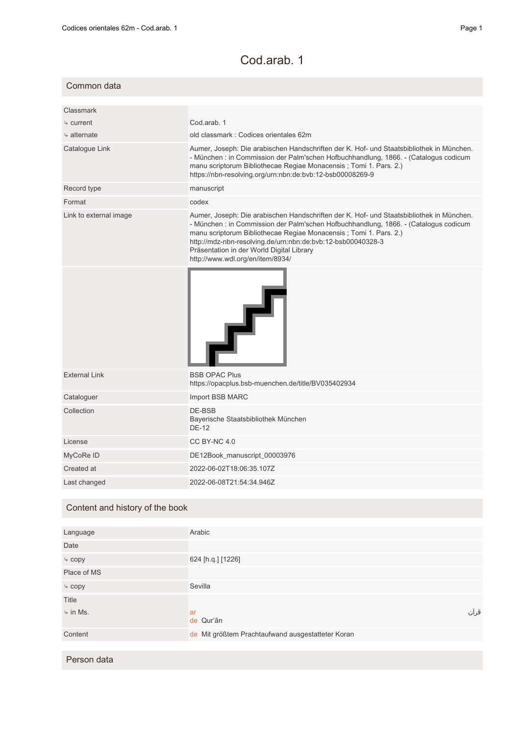## Cod.arab. 1

| Common data             |                                                                                                                                                                                                                                                                                                                                                                                                       |
|-------------------------|-------------------------------------------------------------------------------------------------------------------------------------------------------------------------------------------------------------------------------------------------------------------------------------------------------------------------------------------------------------------------------------------------------|
|                         |                                                                                                                                                                                                                                                                                                                                                                                                       |
| Classmark               |                                                                                                                                                                                                                                                                                                                                                                                                       |
| $\frac{1}{2}$ current   | Cod.arab. 1                                                                                                                                                                                                                                                                                                                                                                                           |
| $\frac{1}{2}$ alternate | old classmark: Codices orientales 62m                                                                                                                                                                                                                                                                                                                                                                 |
| Catalogue Link          | Aumer, Joseph: Die arabischen Handschriften der K. Hof- und Staatsbibliothek in München.<br>- München : in Commission der Palm'schen Hofbuchhandlung, 1866. - (Catalogus codicum<br>manu scriptorum Bibliothecae Regiae Monacensis; Tomi 1. Pars. 2.)<br>https://nbn-resolving.org/urn:nbn:de:bvb:12-bsb00008269-9                                                                                    |
| Record type             | manuscript                                                                                                                                                                                                                                                                                                                                                                                            |
| Format                  | codex                                                                                                                                                                                                                                                                                                                                                                                                 |
| Link to external image  | Aumer, Joseph: Die arabischen Handschriften der K. Hof- und Staatsbibliothek in München.<br>- München : in Commission der Palm'schen Hofbuchhandlung, 1866. - (Catalogus codicum<br>manu scriptorum Bibliothecae Regiae Monacensis; Tomi 1. Pars. 2.)<br>http://mdz-nbn-resolving.de/urn:nbn:de:bvb:12-bsb00040328-3<br>Präsentation in der World Digital Library<br>http://www.wdl.org/en/item/8934/ |
|                         |                                                                                                                                                                                                                                                                                                                                                                                                       |
| <b>External Link</b>    | <b>BSB OPAC Plus</b><br>https://opacplus.bsb-muenchen.de/title/BV035402934                                                                                                                                                                                                                                                                                                                            |
| Cataloguer              | Import BSB MARC                                                                                                                                                                                                                                                                                                                                                                                       |
| Collection              | DE-BSB<br>Bayerische Staatsbibliothek München<br><b>DE-12</b>                                                                                                                                                                                                                                                                                                                                         |
| License                 | CC BY-NC 4.0                                                                                                                                                                                                                                                                                                                                                                                          |
| MyCoRe ID               | DE12Book_manuscript_00003976                                                                                                                                                                                                                                                                                                                                                                          |
| Created at              | 2022-06-02T18:06:35.107Z                                                                                                                                                                                                                                                                                                                                                                              |
| Last changed            | 2022-06-08T21:54:34.946Z                                                                                                                                                                                                                                                                                                                                                                              |
|                         |                                                                                                                                                                                                                                                                                                                                                                                                       |

## Content and history of the book

| Language                           | Arabic                                            |      |
|------------------------------------|---------------------------------------------------|------|
| Date                               |                                                   |      |
| $\overline{\phantom{a}}$ copy      | 624 [h.q.] [1226]                                 |      |
| Place of MS                        |                                                   |      |
| $\overline{\phantom{a}}$ copy      | Sevilla                                           |      |
| Title                              |                                                   |      |
| $\overline{\triangleright}$ in Ms. | ar<br>de Qur'ān                                   | قرآن |
| Content                            | de Mit größtem Prachtaufwand ausgestatteter Koran |      |
|                                    |                                                   |      |

Person data